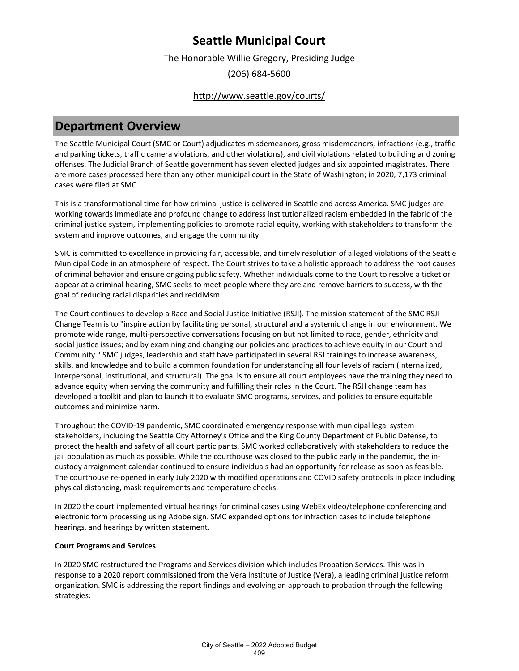The Honorable Willie Gregory, Presiding Judge

(206) 684-5600

### <http://www.seattle.gov/courts/>

## **Department Overview**

The Seattle Municipal Court (SMC or Court) adjudicates misdemeanors, gross misdemeanors, infractions (e.g., traffic and parking tickets, traffic camera violations, and other violations), and civil violations related to building and zoning offenses. The Judicial Branch of Seattle government has seven elected judges and six appointed magistrates. There are more cases processed here than any other municipal court in the State of Washington; in 2020, 7,173 criminal cases were filed at SMC.

This is a transformational time for how criminal justice is delivered in Seattle and across America. SMC judges are working towards immediate and profound change to address institutionalized racism embedded in the fabric of the criminal justice system, implementing policies to promote racial equity, working with stakeholders to transform the system and improve outcomes, and engage the community.

SMC is committed to excellence in providing fair, accessible, and timely resolution of alleged violations of the Seattle Municipal Code in an atmosphere of respect. The Court strives to take a holistic approach to address the root causes of criminal behavior and ensure ongoing public safety. Whether individuals come to the Court to resolve a ticket or appear at a criminal hearing, SMC seeks to meet people where they are and remove barriers to success, with the goal of reducing racial disparities and recidivism.

The Court continues to develop a Race and Social Justice Initiative (RSJI). The mission statement of the SMC RSJI Change Team is to "inspire action by facilitating personal, structural and a systemic change in our environment. We promote wide range, multi-perspective conversations focusing on but not limited to race, gender, ethnicity and social justice issues; and by examining and changing our policies and practices to achieve equity in our Court and Community." SMC judges, leadership and staff have participated in several RSJ trainings to increase awareness, skills, and knowledge and to build a common foundation for understanding all four levels of racism (internalized, interpersonal, institutional, and structural). The goal is to ensure all court employees have the training they need to advance equity when serving the community and fulfilling their roles in the Court. The RSJI change team has developed a toolkit and plan to launch it to evaluate SMC programs, services, and policies to ensure equitable outcomes and minimize harm.

Throughout the COVID-19 pandemic, SMC coordinated emergency response with municipal legal system stakeholders, including the Seattle City Attorney's Office and the King County Department of Public Defense, to protect the health and safety of all court participants. SMC worked collaboratively with stakeholders to reduce the jail population as much as possible. While the courthouse was closed to the public early in the pandemic, the incustody arraignment calendar continued to ensure individuals had an opportunity for release as soon as feasible. The courthouse re-opened in early July 2020 with modified operations and COVID safety protocols in place including physical distancing, mask requirements and temperature checks.

In 2020 the court implemented virtual hearings for criminal cases using WebEx video/telephone conferencing and electronic form processing using Adobe sign. SMC expanded options for infraction cases to include telephone hearings, and hearings by written statement.

### **Court Programs and Services**

In 2020 SMC restructured the Programs and Services division which includes Probation Services. This was in response to a 2020 report commissioned from the Vera Institute of Justice (Vera), a leading criminal justice reform organization. SMC is addressing the report findings and evolving an approach to probation through the following strategies: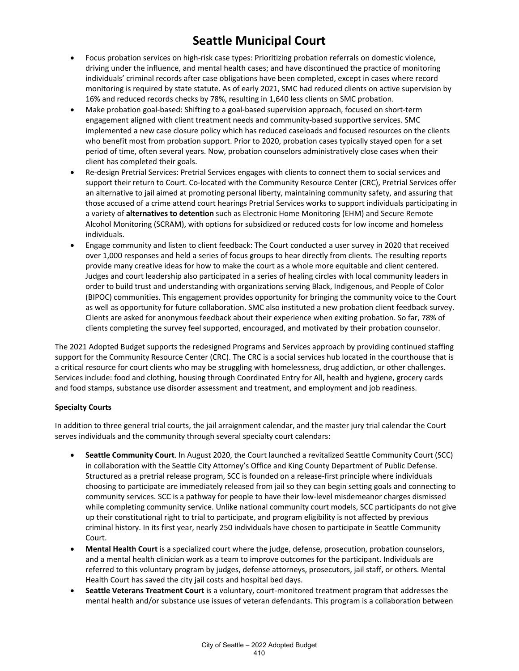- Focus probation services on high-risk case types: Prioritizing probation referrals on domestic violence, driving under the influence, and mental health cases; and have discontinued the practice of monitoring individuals' criminal records after case obligations have been completed, except in cases where record monitoring is required by state statute. As of early 2021, SMC had reduced clients on active supervision by 16% and reduced records checks by 78%, resulting in 1,640 less clients on SMC probation.
- Make probation goal-based: Shifting to a goal-based supervision approach, focused on short-term engagement aligned with client treatment needs and community-based supportive services. SMC implemented a new case closure policy which has reduced caseloads and focused resources on the clients who benefit most from probation support. Prior to 2020, probation cases typically stayed open for a set period of time, often several years. Now, probation counselors administratively close cases when their client has completed their goals.
- Re-design Pretrial Services: Pretrial Services engages with clients to connect them to social services and support their return to Court. Co-located with the Community Resource Center (CRC), Pretrial Services offer an alternative to jail aimed at promoting personal liberty, maintaining community safety, and assuring that those accused of a crime attend court hearings Pretrial Services works to support individuals participating in a variety of **alternatives to detention** such as Electronic Home Monitoring (EHM) and Secure Remote Alcohol Monitoring (SCRAM), with options for subsidized or reduced costs for low income and homeless individuals.
- Engage community and listen to client feedback: The Court conducted a user survey in 2020 that received over 1,000 responses and held a series of focus groups to hear directly from clients. The resulting reports provide many creative ideas for how to make the court as a whole more equitable and client centered. Judges and court leadership also participated in a series of healing circles with local community leaders in order to build trust and understanding with organizations serving Black, Indigenous, and People of Color (BIPOC) communities. This engagement provides opportunity for bringing the community voice to the Court as well as opportunity for future collaboration. SMC also instituted a new probation client feedback survey. Clients are asked for anonymous feedback about their experience when exiting probation. So far, 78% of clients completing the survey feel supported, encouraged, and motivated by their probation counselor.

The 2021 Adopted Budget supports the redesigned Programs and Services approach by providing continued staffing support for the Community Resource Center (CRC). The CRC is a social services hub located in the courthouse that is a critical resource for court clients who may be struggling with homelessness, drug addiction, or other challenges. Services include: food and clothing, housing through Coordinated Entry for All, health and hygiene, grocery cards and food stamps, substance use disorder assessment and treatment, and employment and job readiness.

### **Specialty Courts**

In addition to three general trial courts, the jail arraignment calendar, and the master jury trial calendar the Court serves individuals and the community through several specialty court calendars:

- **Seattle Community Court**. In August 2020, the Court launched a revitalized Seattle Community Court (SCC) in collaboration with the Seattle City Attorney's Office and King County Department of Public Defense. Structured as a pretrial release program, SCC is founded on a release-first principle where individuals choosing to participate are immediately released from jail so they can begin setting goals and connecting to community services. SCC is a pathway for people to have their low-level misdemeanor charges dismissed while completing community service. Unlike national community court models, SCC participants do not give up their constitutional right to trial to participate, and program eligibility is not affected by previous criminal history. In its first year, nearly 250 individuals have chosen to participate in Seattle Community Court.
- **Mental Health Court** is a specialized court where the judge, defense, prosecution, probation counselors, and a mental health clinician work as a team to improve outcomes for the participant. Individuals are referred to this voluntary program by judges, defense attorneys, prosecutors, jail staff, or others. Mental Health Court has saved the city jail costs and hospital bed days.
- **Seattle Veterans Treatment Court** is a voluntary, court-monitored treatment program that addresses the mental health and/or substance use issues of veteran defendants. This program is a collaboration between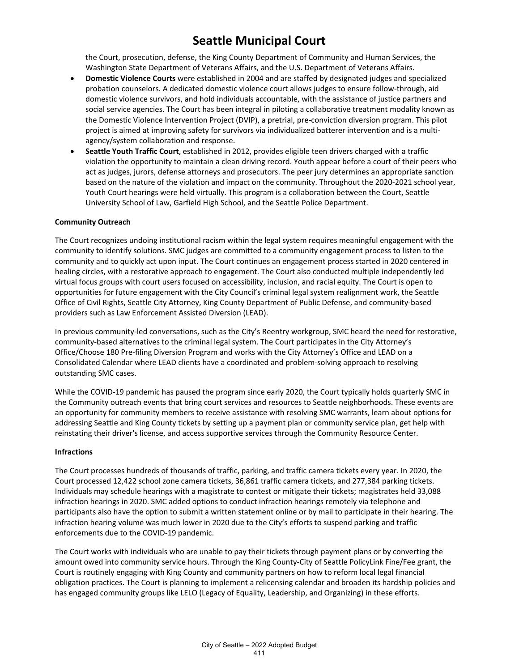the Court, prosecution, defense, the King County Department of Community and Human Services, the Washington State Department of Veterans Affairs, and the U.S. Department of Veterans Affairs.

- **Domestic Violence Courts** were established in 2004 and are staffed by designated judges and specialized probation counselors. A dedicated domestic violence court allows judges to ensure follow-through, aid domestic violence survivors, and hold individuals accountable, with the assistance of justice partners and social service agencies. The Court has been integral in piloting a collaborative treatment modality known as the Domestic Violence Intervention Project (DVIP), a pretrial, pre-conviction diversion program. This pilot project is aimed at improving safety for survivors via individualized batterer intervention and is a multiagency/system collaboration and response.
- **Seattle Youth Traffic Court**, established in 2012, provides eligible teen drivers charged with a traffic violation the opportunity to maintain a clean driving record. Youth appear before a court of their peers who act as judges, jurors, defense attorneys and prosecutors. The peer jury determines an appropriate sanction based on the nature of the violation and impact on the community. Throughout the 2020-2021 school year, Youth Court hearings were held virtually. This program is a collaboration between the Court, Seattle University School of Law, Garfield High School, and the Seattle Police Department.

#### **Community Outreach**

The Court recognizes undoing institutional racism within the legal system requires meaningful engagement with the community to identify solutions. SMC judges are committed to a community engagement process to listen to the community and to quickly act upon input. The Court continues an engagement process started in 2020 centered in healing circles, with a restorative approach to engagement. The Court also conducted multiple independently led virtual focus groups with court users focused on accessibility, inclusion, and racial equity. The Court is open to opportunities for future engagement with the City Council's criminal legal system realignment work, the Seattle Office of Civil Rights, Seattle City Attorney, King County Department of Public Defense, and community-based providers such as Law Enforcement Assisted Diversion (LEAD).

In previous community-led conversations, such as the City's Reentry workgroup, SMC heard the need for restorative, community-based alternatives to the criminal legal system. The Court participates in the City Attorney's Office/Choose 180 Pre-filing Diversion Program and works with the City Attorney's Office and LEAD on a Consolidated Calendar where LEAD clients have a coordinated and problem-solving approach to resolving outstanding SMC cases.

While the COVID-19 pandemic has paused the program since early 2020, the Court typically holds quarterly SMC in the Community outreach events that bring court services and resources to Seattle neighborhoods. These events are an opportunity for community members to receive assistance with resolving SMC warrants, learn about options for addressing Seattle and King County tickets by setting up a payment plan or community service plan, get help with reinstating their driver's license, and access supportive services through the Community Resource Center.

#### **Infractions**

The Court processes hundreds of thousands of traffic, parking, and traffic camera tickets every year. In 2020, the Court processed 12,422 school zone camera tickets, 36,861 traffic camera tickets, and 277,384 parking tickets. Individuals may schedule hearings with a magistrate to contest or mitigate their tickets; magistrates held 33,088 infraction hearings in 2020. SMC added options to conduct infraction hearings remotely via telephone and participants also have the option to submit a written statement online or by mail to participate in their hearing. The infraction hearing volume was much lower in 2020 due to the City's efforts to suspend parking and traffic enforcements due to the COVID-19 pandemic.

The Court works with individuals who are unable to pay their tickets through payment plans or by converting the amount owed into community service hours. Through the King County-City of Seattle PolicyLink Fine/Fee grant, the Court is routinely engaging with King County and community partners on how to reform local legal financial obligation practices. The Court is planning to implement a relicensing calendar and broaden its hardship policies and has engaged community groups like LELO (Legacy of Equality, Leadership, and Organizing) in these efforts.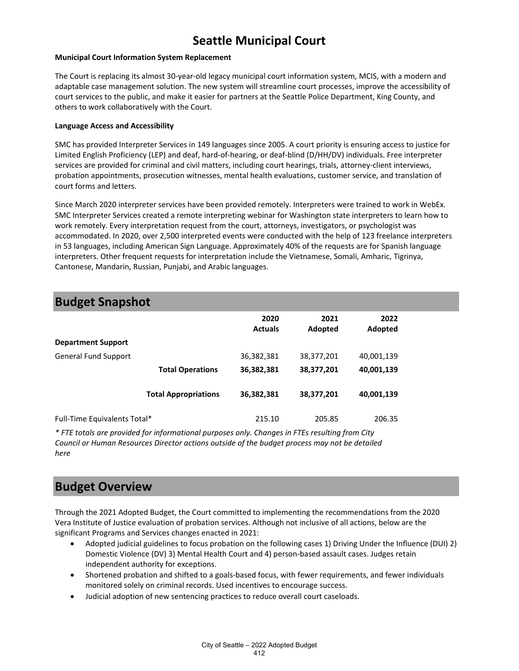#### **Municipal Court Information System Replacement**

The Court is replacing its almost 30-year-old legacy municipal court information system, MCIS, with a modern and adaptable case management solution. The new system will streamline court processes, improve the accessibility of court services to the public, and make it easier for partners at the Seattle Police Department, King County, and others to work collaboratively with the Court.

#### **Language Access and Accessibility**

SMC has provided Interpreter Services in 149 languages since 2005. A court priority is ensuring access to justice for Limited English Proficiency (LEP) and deaf, hard-of-hearing, or deaf-blind (D/HH/DV) individuals. Free interpreter services are provided for criminal and civil matters, including court hearings, trials, attorney-client interviews, probation appointments, prosecution witnesses, mental health evaluations, customer service, and translation of court forms and letters.

Since March 2020 interpreter services have been provided remotely. Interpreters were trained to work in WebEx. SMC Interpreter Services created a remote interpreting webinar for Washington state interpreters to learn how to work remotely. Every interpretation request from the court, attorneys, investigators, or psychologist was accommodated. In 2020, over 2,500 interpreted events were conducted with the help of 123 freelance interpreters in 53 languages, including American Sign Language. Approximately 40% of the requests are for Spanish language interpreters. Other frequent requests for interpretation include the Vietnamese, Somali, Amharic, Tigrinya, Cantonese, Mandarin, Russian, Punjabi, and Arabic languages.

| <b>Budget Snapshot</b>       |                             |                |            |            |  |
|------------------------------|-----------------------------|----------------|------------|------------|--|
|                              |                             | 2020           | 2021       | 2022       |  |
|                              |                             | <b>Actuals</b> | Adopted    | Adopted    |  |
| <b>Department Support</b>    |                             |                |            |            |  |
| <b>General Fund Support</b>  |                             | 36,382,381     | 38,377,201 | 40,001,139 |  |
|                              | <b>Total Operations</b>     | 36,382,381     | 38,377,201 | 40,001,139 |  |
|                              | <b>Total Appropriations</b> | 36,382,381     | 38,377,201 | 40,001,139 |  |
| Full-Time Equivalents Total* |                             | 215.10         | 205.85     | 206.35     |  |

*\* FTE totals are provided for informational purposes only. Changes in FTEs resulting from City Council or Human Resources Director actions outside of the budget process may not be detailed here*

## **Budget Overview**

Through the 2021 Adopted Budget, the Court committed to implementing the recommendations from the 2020 Vera Institute of Justice evaluation of probation services. Although not inclusive of all actions, below are the significant Programs and Services changes enacted in 2021:

- Adopted judicial guidelines to focus probation on the following cases 1) Driving Under the Influence (DUI) 2) Domestic Violence (DV) 3) Mental Health Court and 4) person-based assault cases. Judges retain independent authority for exceptions.
- Shortened probation and shifted to a goals-based focus, with fewer requirements, and fewer individuals monitored solely on criminal records. Used incentives to encourage success.
- Judicial adoption of new sentencing practices to reduce overall court caseloads.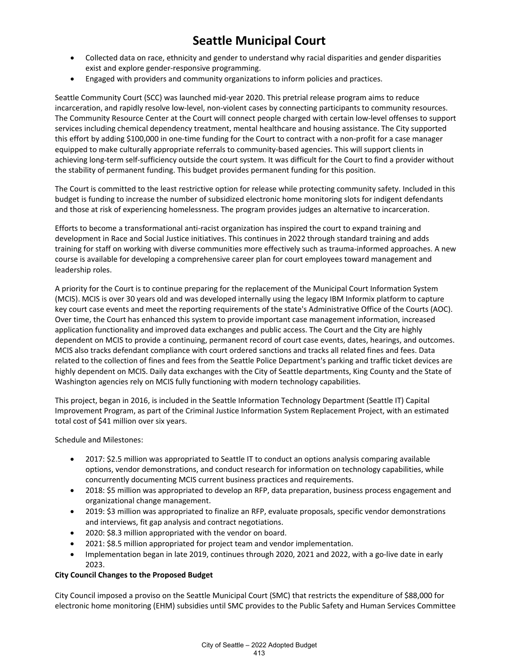- Collected data on race, ethnicity and gender to understand why racial disparities and gender disparities exist and explore gender-responsive programming.
- Engaged with providers and community organizations to inform policies and practices.

Seattle Community Court (SCC) was launched mid-year 2020. This pretrial release program aims to reduce incarceration, and rapidly resolve low-level, non-violent cases by connecting participants to community resources. The Community Resource Center at the Court will connect people charged with certain low-level offenses to support services including chemical dependency treatment, mental healthcare and housing assistance. The City supported this effort by adding \$100,000 in one-time funding for the Court to contract with a non-profit for a case manager equipped to make culturally appropriate referrals to community-based agencies. This will support clients in achieving long-term self-sufficiency outside the court system. It was difficult for the Court to find a provider without the stability of permanent funding. This budget provides permanent funding for this position.

The Court is committed to the least restrictive option for release while protecting community safety. Included in this budget is funding to increase the number of subsidized electronic home monitoring slots for indigent defendants and those at risk of experiencing homelessness. The program provides judges an alternative to incarceration.

Efforts to become a transformational anti-racist organization has inspired the court to expand training and development in Race and Social Justice initiatives. This continues in 2022 through standard training and adds training for staff on working with diverse communities more effectively such as trauma-informed approaches. A new course is available for developing a comprehensive career plan for court employees toward management and leadership roles.

A priority for the Court is to continue preparing for the replacement of the Municipal Court Information System (MCIS). MCIS is over 30 years old and was developed internally using the legacy IBM Informix platform to capture key court case events and meet the reporting requirements of the state's Administrative Office of the Courts (AOC). Over time, the Court has enhanced this system to provide important case management information, increased application functionality and improved data exchanges and public access. The Court and the City are highly dependent on MCIS to provide a continuing, permanent record of court case events, dates, hearings, and outcomes. MCIS also tracks defendant compliance with court ordered sanctions and tracks all related fines and fees. Data related to the collection of fines and fees from the Seattle Police Department's parking and traffic ticket devices are highly dependent on MCIS. Daily data exchanges with the City of Seattle departments, King County and the State of Washington agencies rely on MCIS fully functioning with modern technology capabilities.

This project, began in 2016, is included in the Seattle Information Technology Department (Seattle IT) Capital Improvement Program, as part of the Criminal Justice Information System Replacement Project, with an estimated total cost of \$41 million over six years.

Schedule and Milestones:

- 2017: \$2.5 million was appropriated to Seattle IT to conduct an options analysis comparing available options, vendor demonstrations, and conduct research for information on technology capabilities, while concurrently documenting MCIS current business practices and requirements.
- 2018: \$5 million was appropriated to develop an RFP, data preparation, business process engagement and organizational change management.
- 2019: \$3 million was appropriated to finalize an RFP, evaluate proposals, specific vendor demonstrations and interviews, fit gap analysis and contract negotiations.
- 2020: \$8.3 million appropriated with the vendor on board.
- 2021: \$8.5 million appropriated for project team and vendor implementation.
- Implementation began in late 2019, continues through 2020, 2021 and 2022, with a go-live date in early 2023.

#### **City Council Changes to the Proposed Budget**

City Council imposed a proviso on the Seattle Municipal Court (SMC) that restricts the expenditure of \$88,000 for electronic home monitoring (EHM) subsidies until SMC provides to the Public Safety and Human Services Committee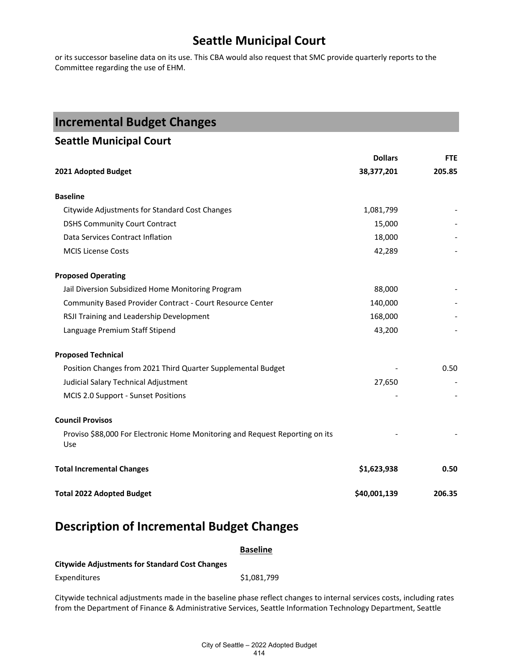or its successor baseline data on its use. This CBA would also request that SMC provide quarterly reports to the Committee regarding the use of EHM.

| <b>Incremental Budget Changes</b>                                                   |                |            |
|-------------------------------------------------------------------------------------|----------------|------------|
| <b>Seattle Municipal Court</b>                                                      |                |            |
|                                                                                     | <b>Dollars</b> | <b>FTE</b> |
| 2021 Adopted Budget                                                                 | 38,377,201     | 205.85     |
| <b>Baseline</b>                                                                     |                |            |
| Citywide Adjustments for Standard Cost Changes                                      | 1,081,799      |            |
| <b>DSHS Community Court Contract</b>                                                | 15,000         |            |
| Data Services Contract Inflation                                                    | 18,000         |            |
| <b>MCIS License Costs</b>                                                           | 42,289         |            |
| <b>Proposed Operating</b>                                                           |                |            |
| Jail Diversion Subsidized Home Monitoring Program                                   | 88,000         |            |
| Community Based Provider Contract - Court Resource Center                           | 140,000        |            |
| RSJI Training and Leadership Development                                            | 168,000        |            |
| Language Premium Staff Stipend                                                      | 43,200         |            |
| <b>Proposed Technical</b>                                                           |                |            |
| Position Changes from 2021 Third Quarter Supplemental Budget                        |                | 0.50       |
| Judicial Salary Technical Adjustment                                                | 27,650         |            |
| MCIS 2.0 Support - Sunset Positions                                                 |                |            |
| <b>Council Provisos</b>                                                             |                |            |
| Proviso \$88,000 For Electronic Home Monitoring and Request Reporting on its<br>Use |                |            |
| <b>Total Incremental Changes</b>                                                    | \$1,623,938    | 0.50       |
| <b>Total 2022 Adopted Budget</b>                                                    | \$40,001,139   | 206.35     |

# **Description of Incremental Budget Changes**

|                                                                                          | <b>Baseline</b> |
|------------------------------------------------------------------------------------------|-----------------|
| Citywide Adjustments for Standard Cost Changes                                           |                 |
| <b>Expenditures</b>                                                                      | \$1,081,799     |
| Citywide technical adjustments made in the baseline phase reflect shanges to internal se |                 |

Citywide technical adjustments made in the baseline phase reflect changes to internal services costs, including rates from the Department of Finance & Administrative Services, Seattle Information Technology Department, Seattle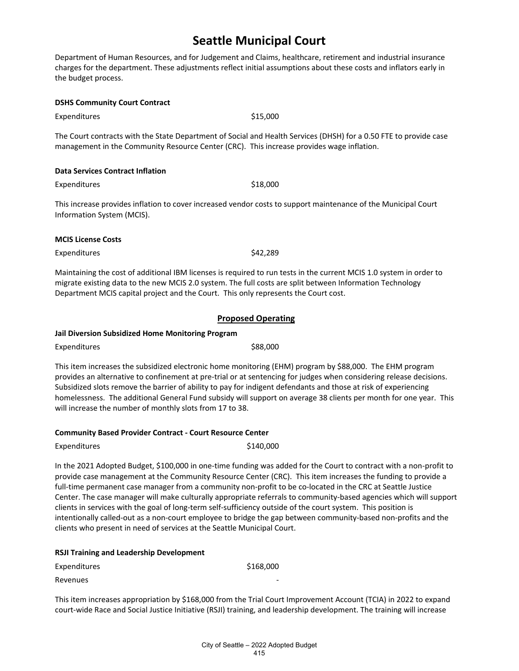Department of Human Resources, and for Judgement and Claims, healthcare, retirement and industrial insurance charges for the department. These adjustments reflect initial assumptions about these costs and inflators early in the budget process.

| <b>DSHS Community Court Contract</b>                                                                                                         |                                                                                                                   |
|----------------------------------------------------------------------------------------------------------------------------------------------|-------------------------------------------------------------------------------------------------------------------|
| Expenditures                                                                                                                                 | \$15,000                                                                                                          |
| management in the Community Resource Center (CRC). This increase provides wage inflation.                                                    | The Court contracts with the State Department of Social and Health Services (DHSH) for a 0.50 FTE to provide case |
| <b>Data Services Contract Inflation</b>                                                                                                      |                                                                                                                   |
| Expenditures                                                                                                                                 | \$18,000                                                                                                          |
| This increase provides inflation to cover increased vendor costs to support maintenance of the Municipal Court<br>Information System (MCIS). |                                                                                                                   |
| <b>MCIS License Costs</b>                                                                                                                    |                                                                                                                   |
| Expenditures                                                                                                                                 | \$42,289                                                                                                          |
|                                                                                                                                              |                                                                                                                   |

Maintaining the cost of additional IBM licenses is required to run tests in the current MCIS 1.0 system in order to migrate existing data to the new MCIS 2.0 system. The full costs are split between Information Technology Department MCIS capital project and the Court. This only represents the Court cost.

### **Proposed Operating**

#### **Jail Diversion Subsidized Home Monitoring Program**

Expenditures  $\sim$  588.000

This item increases the subsidized electronic home monitoring (EHM) program by \$88,000. The EHM program provides an alternative to confinement at pre-trial or at sentencing for judges when considering release decisions. Subsidized slots remove the barrier of ability to pay for indigent defendants and those at risk of experiencing homelessness. The additional General Fund subsidy will support on average 38 clients per month for one year. This will increase the number of monthly slots from 17 to 38.

#### **Community Based Provider Contract - Court Resource Center**

#### Expenditures \$140,000

In the 2021 Adopted Budget, \$100,000 in one-time funding was added for the Court to contract with a non-profit to provide case management at the Community Resource Center (CRC). This item increases the funding to provide a full-time permanent case manager from a community non-profit to be co-located in the CRC at Seattle Justice Center. The case manager will make culturally appropriate referrals to community-based agencies which will support clients in services with the goal of long-term self-sufficiency outside of the court system. This position is intentionally called-out as a non-court employee to bridge the gap between community-based non-profits and the clients who present in need of services at the Seattle Municipal Court.

| <b>RSJI Training and Leadership Development</b> |           |
|-------------------------------------------------|-----------|
| Expenditures                                    | \$168,000 |
| Revenues                                        |           |

This item increases appropriation by \$168,000 from the Trial Court Improvement Account (TCIA) in 2022 to expand court-wide Race and Social Justice Initiative (RSJI) training, and leadership development. The training will increase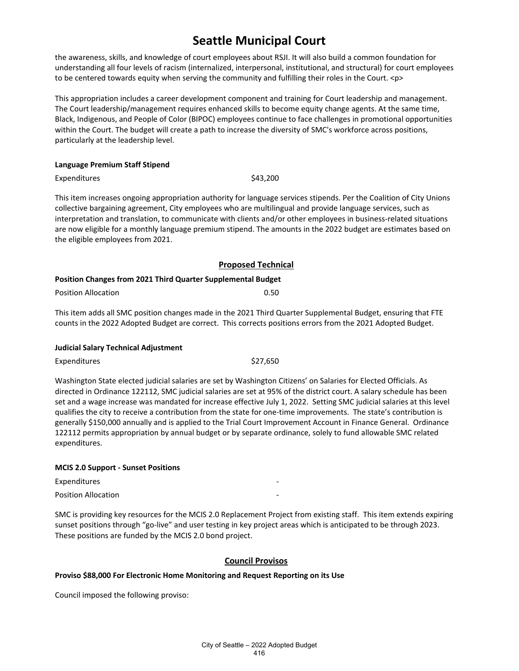the awareness, skills, and knowledge of court employees about RSJI. It will also build a common foundation for understanding all four levels of racism (internalized, interpersonal, institutional, and structural) for court employees to be centered towards equity when serving the community and fulfilling their roles in the Court. <p>

This appropriation includes a career development component and training for Court leadership and management. The Court leadership/management requires enhanced skills to become equity change agents. At the same time, Black, Indigenous, and People of Color (BIPOC) employees continue to face challenges in promotional opportunities within the Court. The budget will create a path to increase the diversity of SMC's workforce across positions, particularly at the leadership level.

#### **Language Premium Staff Stipend**

Expenditures \$43,200

This item increases ongoing appropriation authority for language services stipends. Per the Coalition of City Unions collective bargaining agreement, City employees who are multilingual and provide language services, such as interpretation and translation, to communicate with clients and/or other employees in business-related situations are now eligible for a monthly language premium stipend. The amounts in the 2022 budget are estimates based on the eligible employees from 2021.

#### **Proposed Technical**

#### **Position Changes from 2021 Third Quarter Supplemental Budget**

| <b>Position Allocation</b> | 0.50 |
|----------------------------|------|
|----------------------------|------|

This item adds all SMC position changes made in the 2021 Third Quarter Supplemental Budget, ensuring that FTE counts in the 2022 Adopted Budget are correct. This corrects positions errors from the 2021 Adopted Budget.

#### **Judicial Salary Technical Adjustment**

Expenditures \$27,650

Washington State elected judicial salaries are set by Washington Citizens' on Salaries for Elected Officials. As directed in Ordinance 122112, SMC judicial salaries are set at 95% of the district court. A salary schedule has been set and a wage increase was mandated for increase effective July 1, 2022. Setting SMC judicial salaries at this level qualifies the city to receive a contribution from the state for one-time improvements. The state's contribution is generally \$150,000 annually and is applied to the Trial Court Improvement Account in Finance General. Ordinance 122112 permits appropriation by annual budget or by separate ordinance, solely to fund allowable SMC related expenditures.

#### **MCIS 2.0 Support - Sunset Positions**

**Expenditures** Position Allocation

SMC is providing key resources for the MCIS 2.0 Replacement Project from existing staff. This item extends expiring sunset positions through "go-live" and user testing in key project areas which is anticipated to be through 2023. These positions are funded by the MCIS 2.0 bond project.

#### **Council Provisos**

#### **Proviso \$88,000 For Electronic Home Monitoring and Request Reporting on its Use**

Council imposed the following proviso: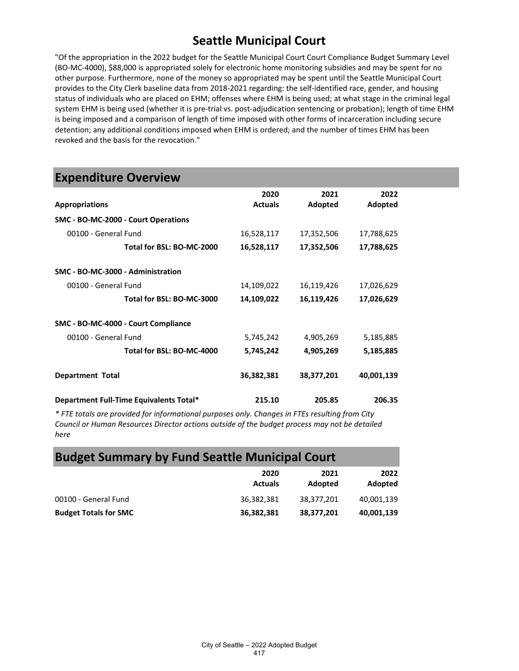"Of the appropriation in the 2022 budget for the Seattle Municipal Court Court Compliance Budget Summary Level (BO-MC-4000), \$88,000 is appropriated solely for electronic home monitoring subsidies and may be spent for no other purpose. Furthermore, none of the money so appropriated may be spent until the Seattle Municipal Court provides to the City Clerk baseline data from 2018-2021 regarding: the self-identified race, gender, and housing status of individuals who are placed on EHM; offenses where EHM is being used; at what stage in the criminal legal system EHM is being used (whether it is pre-trial vs. post-adjudication sentencing or probation); length of time EHM is being imposed and a comparison of length of time imposed with other forms of incarceration including secure detention; any additional conditions imposed when EHM is ordered; and the number of times EHM has been revoked and the basis for the revocation."

## **Expenditure Overview**

| <b>Appropriations</b>                   | 2020<br><b>Actuals</b> | 2021<br>Adopted | 2022<br>Adopted |  |
|-----------------------------------------|------------------------|-----------------|-----------------|--|
| SMC - BO-MC-2000 - Court Operations     |                        |                 |                 |  |
| 00100 - General Fund                    | 16,528,117             | 17,352,506      | 17,788,625      |  |
| Total for BSL: BO-MC-2000               | 16,528,117             | 17,352,506      | 17,788,625      |  |
| SMC - BO-MC-3000 - Administration       |                        |                 |                 |  |
| 00100 - General Fund                    | 14,109,022             | 16,119,426      | 17,026,629      |  |
| Total for BSL: BO-MC-3000               | 14,109,022             | 16,119,426      | 17,026,629      |  |
| SMC - BO-MC-4000 - Court Compliance     |                        |                 |                 |  |
| 00100 - General Fund                    | 5,745,242              | 4,905,269       | 5,185,885       |  |
| Total for BSL: BO-MC-4000               | 5,745,242              | 4,905,269       | 5,185,885       |  |
| <b>Department Total</b>                 | 36,382,381             | 38,377,201      | 40,001,139      |  |
| Department Full-Time Equivalents Total* | 215.10                 | 205.85          | 206.35          |  |

*\* FTE totals are provided for informational purposes only. Changes in FTEs resulting from City Council or Human Resources Director actions outside of the budget process may not be detailed here*

## **Budget Summary by Fund Seattle Municipal Court**

|                              | 2020<br><b>Actuals</b> | 2021<br>Adopted | 2022<br>Adopted |
|------------------------------|------------------------|-----------------|-----------------|
| 00100 - General Fund         | 36,382,381             | 38.377.201      | 40,001,139      |
| <b>Budget Totals for SMC</b> | 36,382,381             | 38,377,201      | 40,001,139      |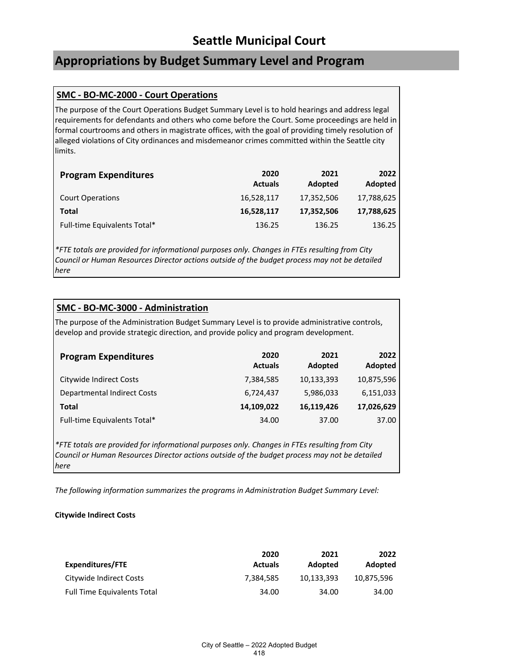## **Appropriations by Budget Summary Level and Program**

### **SMC - BO-MC-2000 - Court Operations**

The purpose of the Court Operations Budget Summary Level is to hold hearings and address legal requirements for defendants and others who come before the Court. Some proceedings are held in formal courtrooms and others in magistrate offices, with the goal of providing timely resolution of alleged violations of City ordinances and misdemeanor crimes committed within the Seattle city limits.

| <b>Program Expenditures</b>  | 2020<br><b>Actuals</b> | 2021<br>Adopted | 2022<br><b>Adopted</b> |
|------------------------------|------------------------|-----------------|------------------------|
| <b>Court Operations</b>      | 16,528,117             | 17,352,506      | 17,788,625             |
| Total                        | 16,528,117             | 17,352,506      | 17,788,625             |
| Full-time Equivalents Total* | 136.25                 | 136.25          | 136.25                 |

*\*FTE totals are provided for informational purposes only. Changes in FTEs resulting from City Council or Human Resources Director actions outside of the budget process may not be detailed here*

### **SMC - BO-MC-3000 - Administration**

The purpose of the Administration Budget Summary Level is to provide administrative controls, develop and provide strategic direction, and provide policy and program development.

| <b>Program Expenditures</b>  | 2020<br><b>Actuals</b> | 2021<br>Adopted | 2022<br>Adopted |
|------------------------------|------------------------|-----------------|-----------------|
| Citywide Indirect Costs      | 7,384,585              | 10,133,393      | 10,875,596      |
| Departmental Indirect Costs  | 6,724,437              | 5,986,033       | 6,151,033       |
| Total                        | 14,109,022             | 16,119,426      | 17,026,629      |
| Full-time Equivalents Total* | 34.00                  | 37.00           | 37.00           |

*\*FTE totals are provided for informational purposes only. Changes in FTEs resulting from City Council or Human Resources Director actions outside of the budget process may not be detailed here*

*The following information summarizes the programs in Administration Budget Summary Level:*

#### **Citywide Indirect Costs**

|                                    | 2020           | 2021       | 2022       |
|------------------------------------|----------------|------------|------------|
| Expenditures/FTE                   | <b>Actuals</b> | Adopted    | Adopted    |
| Citywide Indirect Costs            | 7.384.585      | 10.133.393 | 10,875,596 |
| <b>Full Time Equivalents Total</b> | 34.00          | 34.00      | 34.00      |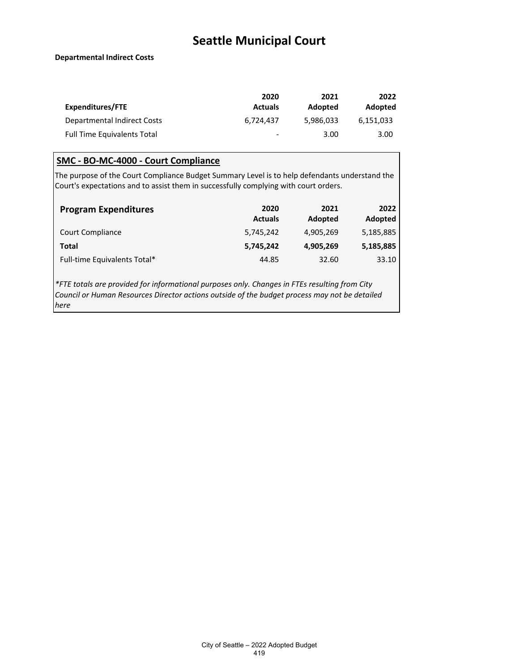**2022**

#### **Departmental Indirect Costs**

|                                    | 2020           | 2021      | 2022      |
|------------------------------------|----------------|-----------|-----------|
| Expenditures/FTE                   | <b>Actuals</b> | Adopted   | Adopted   |
| Departmental Indirect Costs        | 6.724.437      | 5.986.033 | 6.151.033 |
| <b>Full Time Equivalents Total</b> | -              | 3.00      | 3.00      |

### **SMC - BO-MC-4000 - Court Compliance** The purpose of the Court Compliance Budget Summary Level is to help defendants understand the Court's expectations and to assist them in successfully complying with court orders. **Program Expenditures 2020 Actuals 2021 Adopted Adopted** Court Compliance 5,745,242 4,905,269 5,185,885 **Total 5,745,242 4,905,269 5,185,885** Full-time Equivalents Total\* 44.85 32.60 33.10

*\*FTE totals are provided for informational purposes only. Changes in FTEs resulting from City Council or Human Resources Director actions outside of the budget process may not be detailed here*